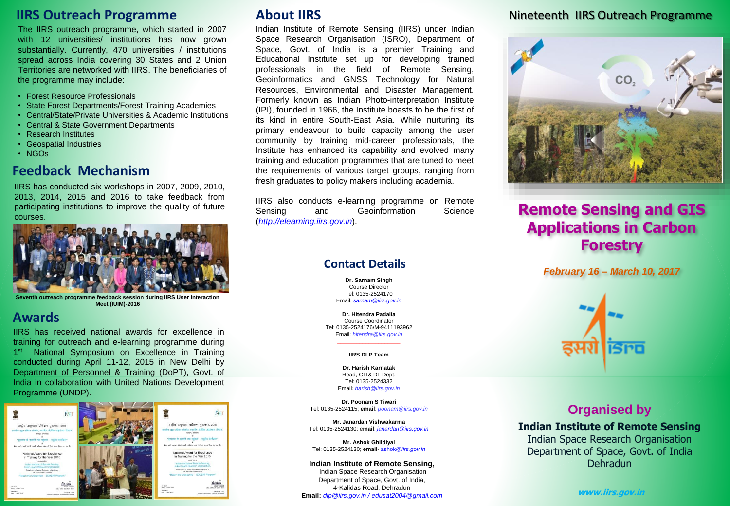# **IIRS Outreach Programme**

The IIRS outreach programme, which started in 2007 with 12 universities/ institutions has now grown substantially. Currently, 470 universities / institutions spread across India covering 30 States and 2 Union Territories are networked with IIRS. The beneficiaries of the programme may include:

- Forest Resource Professionals
- State Forest Departments/Forest Training Academies
- Central/State/Private Universities & Academic Institutions
- Central & State Government Departments
- Research Institutes
- Geospatial Industries
- NGOs

### **Feedback Mechanism**

IIRS has conducted six workshops in 2007, 2009, 2010, 2013, 2014, 2015 and 2016 to take feedback from participating institutions to improve the quality of future courses.



**Seventh outreach programme feedback session during IIRS User Interaction Meet (IUIM)-2016**

### **Awards**

IIRS has received national awards for excellence in training for outreach and e-learning programme during 1<sup>st</sup> National Symposium on Excellence in Training conducted during April 11-12, 2015 in New Delhi by Department of Personnel & Training (DoPT), Govt. of India in collaboration with United Nations Development Programme (UNDP).



# **About IIRS**

Indian Institute of Remote Sensing (IIRS) under Indian Space Research Organisation (ISRO), Department of Space, Govt. of India is a premier Training and Educational Institute set up for developing trained professionals in the field of Remote Sensing, Geoinformatics and GNSS Technology for Natural Resources, Environmental and Disaster Management. Formerly known as Indian Photo-interpretation Institute (IPI), founded in 1966, the Institute boasts to be the first of its kind in entire South-East Asia. While nurturing its primary endeavour to build capacity among the user community by training mid-career professionals, the Institute has enhanced its capability and evolved many training and education programmes that are tuned to meet the requirements of various target groups, ranging from fresh graduates to policy makers including academia.

IIRS also conducts e-learning programme on Remote Sensing and Geoinformation Science (*http://elearning.iirs.gov.in*).

### **Contact Details**

**Dr. Sarnam Singh** Course Director Tel: 0135-2524170 Email: *sarnam@iirs.gov.in*

**Dr. Hitendra Padalia** Course Coordinator Tel: 0135-2524176/M-9411193962 Email: *hitendra@iirs.gov.in*

#### \_\_\_\_\_\_\_\_\_\_\_\_\_\_\_\_\_\_\_\_ **IIRS DLP Team**

**Dr. Harish Karnatak** Head, GIT& DL Dept. Tel: 0135-2524332 Email*: harish@iirs.gov.in*

**Dr. Poonam S Tiwari** Tel: 0135-2524115; **email**: *poonam@iirs.gov.in*

**Mr. Janardan Vishwakarma** Tel: 0135-2524130; e**mail**: *janardan@iirs.gov.in*

**Mr. Ashok Ghildiyal** Tel: 0135-2524130; **email-** ashok@*iirs.gov.in*

**Indian Institute of Remote Sensing,** Indian Space Research Organisation Department of Space, Govt. of India, 4-Kalidas Road, Dehradun **Email:** *dlp@iirs.gov.in / edusat2004@gmail.com*

### Nineteenth IIRS Outreach Programme



# **Remote Sensing and GIS Applications in Carbon Forestry**

*February 16 – March 10, 2017*



# **Organised by**

**Indian Institute of Remote Sensing** Indian Space Research Organisation Department of Space, Govt. of India

Dehradun

**www.iirs.gov.in**